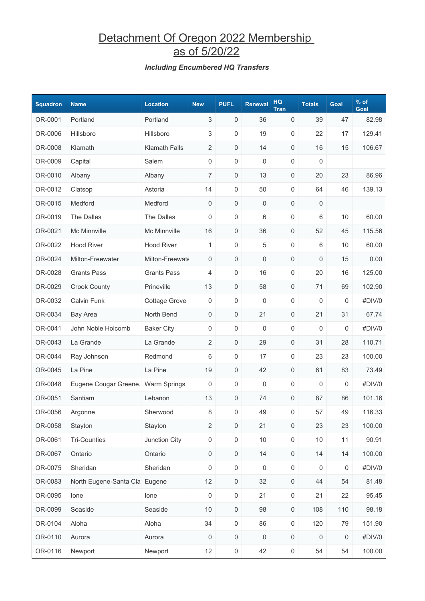## Detachment Of Oregon 2022 Membership as of 5/20/22

### *Including Encumbered HQ Transfers*

| <b>Squadron</b> | <b>Name</b>                        | <b>Location</b>      | <b>New</b>          | <b>PUFL</b>         | Renewal             | HQ<br><b>Tran</b>   | <b>Totals</b> | Goal             | $%$ of<br>Goal |
|-----------------|------------------------------------|----------------------|---------------------|---------------------|---------------------|---------------------|---------------|------------------|----------------|
| OR-0001         | Portland                           | Portland             | 3                   | 0                   | 36                  | 0                   | 39            | 47               | 82.98          |
| OR-0006         | Hillsboro                          | Hillsboro            | 3                   | 0                   | 19                  | 0                   | 22            | 17               | 129.41         |
| OR-0008         | Klamath                            | <b>Klamath Falls</b> | $\overline{2}$      | $\mathsf{O}\xspace$ | 14                  | $\mathsf{O}\xspace$ | 16            | 15               | 106.67         |
| OR-0009         | Capital                            | Salem                | $\mathsf{O}\xspace$ | $\mathsf{O}\xspace$ | $\mathsf 0$         | 0                   | 0             |                  |                |
| OR-0010         | Albany                             | Albany               | $\overline{7}$      | 0                   | 13                  | 0                   | 20            | 23               | 86.96          |
| OR-0012         | Clatsop                            | Astoria              | 14                  | 0                   | 50                  | 0                   | 64            | 46               | 139.13         |
| OR-0015         | Medford                            | Medford              | 0                   | $\mathsf{O}\xspace$ | $\mathsf{O}\xspace$ | $\mathsf{O}\xspace$ | 0             |                  |                |
| OR-0019         | The Dalles                         | The Dalles           | 0                   | 0                   | 6                   | 0                   | 6             | 10               | 60.00          |
| OR-0021         | Mc Minnville                       | Mc Minnville         | 16                  | 0                   | 36                  | 0                   | 52            | 45               | 115.56         |
| OR-0022         | <b>Hood River</b>                  | <b>Hood River</b>    | 1                   | 0                   | 5                   | $\mathsf{O}\xspace$ | 6             | 10               | 60.00          |
| OR-0024         | Milton-Freewater                   | Milton-Freewate      | 0                   | $\mathsf{O}\xspace$ | $\mathsf{O}\xspace$ | 0                   | 0             | 15               | 0.00           |
| OR-0028         | <b>Grants Pass</b>                 | <b>Grants Pass</b>   | 4                   | $\mathsf{O}\xspace$ | 16                  | 0                   | 20            | 16               | 125.00         |
| OR-0029         | <b>Crook County</b>                | Prineville           | 13                  | 0                   | 58                  | 0                   | 71            | 69               | 102.90         |
| OR-0032         | <b>Calvin Funk</b>                 | <b>Cottage Grove</b> | 0                   | 0                   | 0                   | 0                   | 0             | $\boldsymbol{0}$ | #DIV/0         |
| OR-0034         | <b>Bay Area</b>                    | North Bend           | $\mathsf{O}\xspace$ | $\mathsf{O}\xspace$ | 21                  | 0                   | 21            | 31               | 67.74          |
| OR-0041         | John Noble Holcomb                 | <b>Baker City</b>    | 0                   | 0                   | 0                   | 0                   | 0             | $\mathbf 0$      | #DIV/0         |
| OR-0043         | La Grande                          | La Grande            | $\overline{2}$      | 0                   | 29                  | 0                   | 31            | 28               | 110.71         |
| OR-0044         | Ray Johnson                        | Redmond              | 6                   | 0                   | 17                  | 0                   | 23            | 23               | 100.00         |
| OR-0045         | La Pine                            | La Pine              | 19                  | $\mathsf{O}\xspace$ | 42                  | $\mathsf{O}\xspace$ | 61            | 83               | 73.49          |
| OR-0048         | Eugene Cougar Greene, Warm Springs |                      | $\boldsymbol{0}$    | 0                   | 0                   | 0                   | 0             | $\boldsymbol{0}$ | #DIV/0         |
| OR-0051         | Santiam                            | Lebanon              | 13                  | $\mathbf{0}$        | 74                  | 0                   | 87            | 86               | 101.16         |
| OR-0056         | Argonne                            | Sherwood             | 8                   | $\Omega$            | 49                  | 0                   | 57            | 49               | 116.33         |
| OR-0058         | Stayton                            | Stayton              | $\sqrt{2}$          | $\mathsf{O}\xspace$ | 21                  | $\mathsf 0$         | 23            | 23               | 100.00         |
| OR-0061         | <b>Tri-Counties</b>                | Junction City        | $\mathsf{O}\xspace$ | $\mathsf{O}\xspace$ | $10$                | $\mathsf{O}\xspace$ | $10$          | 11               | 90.91          |
| OR-0067         | Ontario                            | Ontario              | $\mathsf{O}\xspace$ | 0                   | 14                  | 0                   | 14            | 14               | 100.00         |
| OR-0075         | Sheridan                           | Sheridan             | $\boldsymbol{0}$    | $\mathsf{O}\xspace$ | $\mathsf 0$         | $\mathsf{O}\xspace$ | 0             | $\boldsymbol{0}$ | #DIV/0         |
| OR-0083         | North Eugene-Santa Cla Eugene      |                      | 12                  | $\mathsf{O}\xspace$ | 32                  | $\mathsf 0$         | 44            | 54               | 81.48          |
| OR-0095         | lone                               | lone                 | $\mathsf{O}\xspace$ | $\mathsf{O}\xspace$ | 21                  | $\mathsf 0$         | 21            | 22               | 95.45          |
| OR-0099         | Seaside                            | Seaside              | 10                  | 0                   | 98                  | $\boldsymbol{0}$    | 108           | 110              | 98.18          |
| OR-0104         | Aloha                              | Aloha                | 34                  | $\mathsf{O}\xspace$ | 86                  | $\mathsf 0$         | 120           | 79               | 151.90         |
| OR-0110         | Aurora                             | Aurora               | 0                   | $\mathsf{O}\xspace$ | $\mathsf 0$         | $\mathsf 0$         | 0             | $\mathbf 0$      | #DIV/0         |
| OR-0116         | Newport                            | Newport              | 12                  | $\boldsymbol{0}$    | 42                  | $\mathsf{O}\xspace$ | 54            | 54               | 100.00         |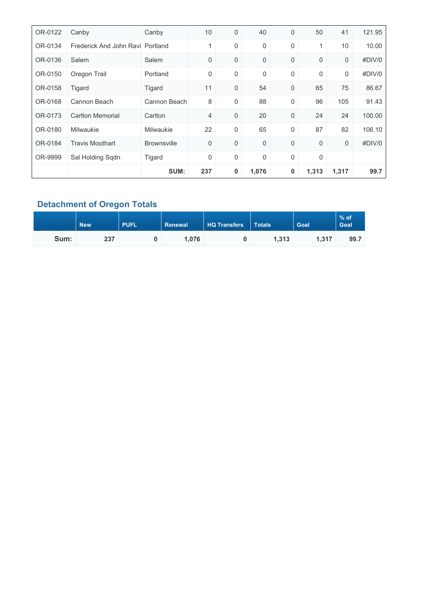| OR-0122 | Canby                            | Canby              | 10  | $\mathbf 0$      | 40    | 0 | 50          | 41    | 121.95 |
|---------|----------------------------------|--------------------|-----|------------------|-------|---|-------------|-------|--------|
| OR-0134 | Frederick And John Ravi Portland |                    | 1   | $\mathbf 0$      | 0     | 0 | 1           | 10    | 10.00  |
| OR-0136 | Salem                            | Salem              | 0   | $\mathbf 0$      | 0     | 0 | 0           | 0     | #DIV/0 |
| OR-0150 | Oregon Trail                     | Portland           | 0   | $\boldsymbol{0}$ | 0     | 0 | $\mathbf 0$ | 0     | #DIV/0 |
| OR-0158 | Tigard                           | Tigard             | 11  | $\mathbf 0$      | 54    | 0 | 65          | 75    | 86.67  |
| OR-0168 | Cannon Beach                     | Cannon Beach       | 8   | $\mathbf 0$      | 88    | 0 | 96          | 105   | 91.43  |
| OR-0173 | <b>Carlton Memorial</b>          | Carlton            | 4   | $\mathbf 0$      | 20    | 0 | 24          | 24    | 100.00 |
| OR-0180 | <b>Milwaukie</b>                 | Milwaukie          | 22  | $\boldsymbol{0}$ | 65    | 0 | 87          | 82    | 106.10 |
| OR-0184 | <b>Travis Moothart</b>           | <b>Brownsville</b> | 0   | $\mathbf 0$      | 0     | 0 | 0           | 0     | #DIV/0 |
| OR-9999 | Sal Holding Sqdn                 | Tigard             | 0   | $\boldsymbol{0}$ | 0     | 0 | $\mathbf 0$ |       |        |
|         |                                  | SUM:               | 237 | 0                | 1,076 | 0 | 1,313       | 1,317 | 99.7   |

### **Detachment of Oregon Totals**

|      | <b>PUFL</b><br><b>New</b> |  | <b>HQ Transfers</b><br>Renewal |  | <b>Totals</b> | Goal  | $%$ of<br>Goal |
|------|---------------------------|--|--------------------------------|--|---------------|-------|----------------|
| Sum: | 237                       |  | 1.076                          |  | 1.313         | 1.317 | 99.7           |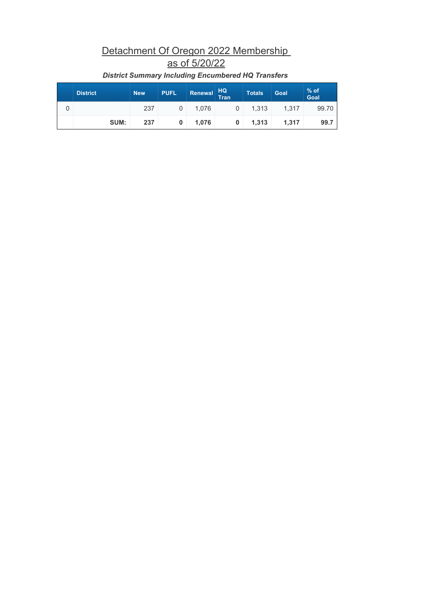# Detachment Of Oregon 2022 Membership as of 5/20/22

| <b>District</b> | <b>New</b> | <b>PUFL</b> | Renewal HQ | Tran | <b>Totals</b> | <b>Goal</b> | $%$ of<br>Goal |
|-----------------|------------|-------------|------------|------|---------------|-------------|----------------|
|                 | 237        |             | 1.076      | 0    | 1.313         | 1.317       | 99.70          |
| SUM:            | 237        | 0           | 1.076      | 0    | 1.313         | 1.317       | 99.7           |

### *District Summary Including Encumbered HQ Transfers*